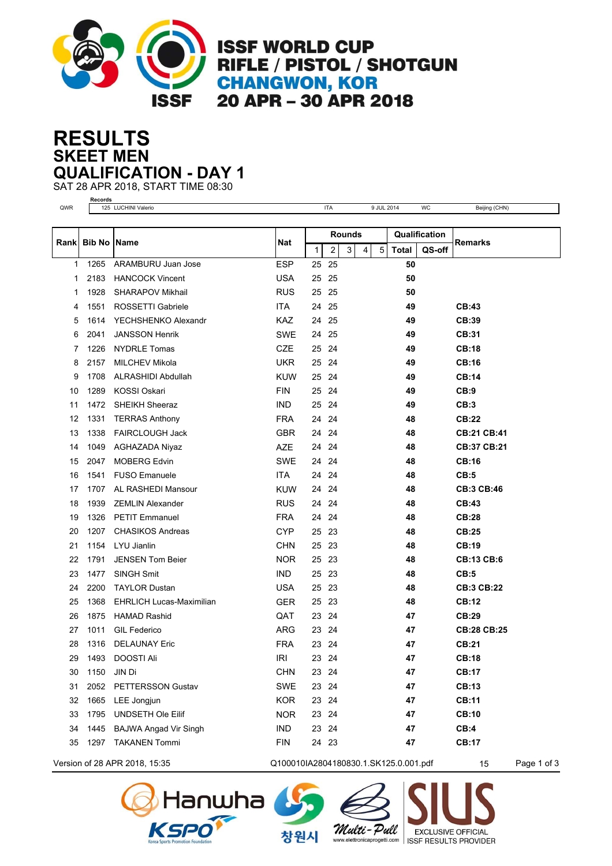

**ISSF WORLD CUP** RIFLE / PISTOL / SHOTGUN **CHANGWON, KOR** 20 APR - 30 APR 2018

## **SKEET MEN RESULTS QUALIFICATION - DAY 1**

SAT 28 APR 2018, START TIME 08:30 **Records**

| QWR         |               | 125 LUCHINI Valerio             |            |               | <b>ITA</b>              |   |   | 9 JUL 2014     |               | <b>WC</b> | Beijing (CHN)      |  |
|-------------|---------------|---------------------------------|------------|---------------|-------------------------|---|---|----------------|---------------|-----------|--------------------|--|
|             |               |                                 |            |               |                         |   |   |                |               |           |                    |  |
|             |               | Name                            |            | <b>Rounds</b> |                         |   |   |                | Qualification |           |                    |  |
| <b>Rank</b> | <b>Bib No</b> |                                 | Nat        | $\mathbf{1}$  | $\overline{\mathbf{c}}$ | 3 | 4 | $\overline{5}$ | <b>Total</b>  | QS-off    | Remarks            |  |
| 1           | 1265          | ARAMBURU Juan Jose              | <b>ESP</b> | 25            | 25                      |   |   |                | 50            |           |                    |  |
| 1           | 2183          | <b>HANCOCK Vincent</b>          | <b>USA</b> | 25            | 25                      |   |   |                | 50            |           |                    |  |
| 1           | 1928          | <b>SHARAPOV Mikhail</b>         | <b>RUS</b> | 25            | 25                      |   |   |                | 50            |           |                    |  |
| 4           | 1551          | ROSSETTI Gabriele               | ITA.       | 24            | 25                      |   |   |                | 49            |           | CB:43              |  |
| 5           | 1614          | YECHSHENKO Alexandr             | <b>KAZ</b> | 24            | 25                      |   |   |                | 49            |           | CB:39              |  |
| 6           | 2041          | <b>JANSSON Henrik</b>           | SWE        | 24            | 25                      |   |   |                | 49            |           | <b>CB:31</b>       |  |
| 7           | 1226          | <b>NYDRLE Tomas</b>             | <b>CZE</b> | 25            | 24                      |   |   |                | 49            |           | <b>CB:18</b>       |  |
| 8           | 2157          | <b>MILCHEV Mikola</b>           | <b>UKR</b> | 25            | 24                      |   |   |                | 49            |           | <b>CB:16</b>       |  |
| 9           | 1708          | ALRASHIDI Abdullah              | <b>KUW</b> | 25            | 24                      |   |   |                | 49            |           | <b>CB:14</b>       |  |
| 10          | 1289          | <b>KOSSI Oskari</b>             | <b>FIN</b> | 25            | 24                      |   |   |                | 49            |           | CB:9               |  |
| 11          | 1472          | <b>SHEIKH Sheeraz</b>           | <b>IND</b> | 25            | 24                      |   |   |                | 49            |           | CB:3               |  |
| 12          | 1331          | <b>TERRAS Anthony</b>           | <b>FRA</b> | 24            | 24                      |   |   |                | 48            |           | <b>CB:22</b>       |  |
| 13          | 1338          | <b>FAIRCLOUGH Jack</b>          | <b>GBR</b> | 24            | 24                      |   |   |                | 48            |           | <b>CB:21 CB:41</b> |  |
| 14          | 1049          | <b>AGHAZADA Niyaz</b>           | <b>AZE</b> | 24            | 24                      |   |   |                | 48            |           | CB:37 CB:21        |  |
| 15          | 2047          | <b>MOBERG Edvin</b>             | <b>SWE</b> | 24            | 24                      |   |   |                | 48            |           | CB:16              |  |
| 16          | 1541          | <b>FUSO Emanuele</b>            | <b>ITA</b> | 24            | 24                      |   |   |                | 48            |           | CB:5               |  |
| 17          | 1707          | AL RASHEDI Mansour              | <b>KUW</b> | 24            | 24                      |   |   |                | 48            |           | <b>CB:3 CB:46</b>  |  |
| 18          | 1939          | <b>ZEMLIN Alexander</b>         | <b>RUS</b> | 24            | 24                      |   |   |                | 48            |           | CB:43              |  |
| 19          | 1326          | <b>PETIT Emmanuel</b>           | <b>FRA</b> | 24            | 24                      |   |   |                | 48            |           | <b>CB:28</b>       |  |
| 20          | 1207          | <b>CHASIKOS Andreas</b>         | <b>CYP</b> | 25            | 23                      |   |   |                | 48            |           | <b>CB:25</b>       |  |
| 21          | 1154          | LYU Jianlin                     | <b>CHN</b> | 25            | 23                      |   |   |                | 48            |           | CB:19              |  |
| 22          | 1791          | <b>JENSEN Tom Beier</b>         | <b>NOR</b> | 25            | 23                      |   |   |                | 48            |           | <b>CB:13 CB:6</b>  |  |
| 23          | 1477          | <b>SINGH Smit</b>               | <b>IND</b> | 25            | 23                      |   |   |                | 48            |           | CB:5               |  |
| 24          | 2200          | <b>TAYLOR Dustan</b>            | <b>USA</b> | 25            | 23                      |   |   |                | 48            |           | <b>CB:3 CB:22</b>  |  |
| 25          | 1368          | <b>EHRLICH Lucas-Maximilian</b> | <b>GER</b> | 25            | 23                      |   |   |                | 48            |           | <b>CB:12</b>       |  |
| 26          | 1875          | <b>HAMAD Rashid</b>             | QAT        | 23            | 24                      |   |   |                | 47            |           | CB:29              |  |
| 27          | 1011          | <b>GIL Federico</b>             | ARG        | 23            | 24                      |   |   |                | 47            |           | <b>CB:28 CB:25</b> |  |
| 28          | 1316          | <b>DELAUNAY Eric</b>            | <b>FRA</b> | 23            | 24                      |   |   |                | 47            |           | <b>CB:21</b>       |  |
| 29          | 1493          | <b>DOOSTI Ali</b>               | <b>IRI</b> | 23            | 24                      |   |   |                | 47            |           | <b>CB:18</b>       |  |
| 30          | 1150          | JIN Di                          | <b>CHN</b> | 23 24         |                         |   |   |                | 47            |           | <b>CB:17</b>       |  |
| 31          | 2052          | PETTERSSON Gustav               | SWE        | 23 24         |                         |   |   |                | 47            |           | <b>CB:13</b>       |  |
| 32          | 1665          | LEE Jongjun                     | <b>KOR</b> | 23            | 24                      |   |   |                | 47            |           | <b>CB:11</b>       |  |
| 33          | 1795          | UNDSETH Ole Eilif               | <b>NOR</b> | 23 24         |                         |   |   |                | 47            |           | <b>CB:10</b>       |  |
| 34          | 1445          | <b>BAJWA Angad Vir Singh</b>    | <b>IND</b> | 23 24         |                         |   |   |                | 47            |           | CB:4               |  |
| 35          | 1297          | <b>TAKANEN Tommi</b>            | <b>FIN</b> | 24 23         |                         |   |   |                | 47            |           | <b>CB:17</b>       |  |
|             |               |                                 |            |               |                         |   |   |                |               |           |                    |  |

Version of 28 APR 2018, 15:35 Q100010IA2804180830.1.SK125.0.001.pdf 15 Page 1 of 3



창원시

Multi-Pull

**EXCLUSIVE OFFICIAL** 

www.elettronicaprogetti.com | ISSF RESULTS PROVIDER

**duna** 

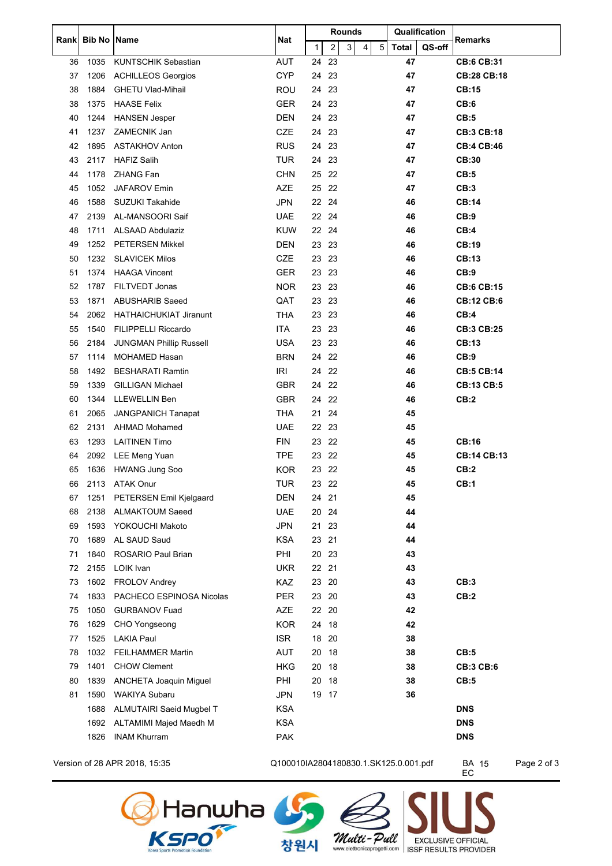|    | Rank Bib No Name |                                | Nat        | <b>Rounds</b> |                         |   |   |            | Qualification |        | Remarks            |
|----|------------------|--------------------------------|------------|---------------|-------------------------|---|---|------------|---------------|--------|--------------------|
|    |                  |                                |            | 1             | $\overline{\mathbf{c}}$ | 3 | 4 | $\sqrt{5}$ | <b>Total</b>  | QS-off |                    |
| 36 | 1035             | <b>KUNTSCHIK Sebastian</b>     | AUT        | 24            | 23                      |   |   |            | 47            |        | <b>CB:6 CB:31</b>  |
| 37 | 1206             | <b>ACHILLEOS Georgios</b>      | <b>CYP</b> | 24            | 23                      |   |   |            | 47            |        | <b>CB:28 CB:18</b> |
| 38 | 1884             | <b>GHETU Vlad-Mihail</b>       | ROU        | 24            | 23                      |   |   |            | 47            |        | <b>CB:15</b>       |
| 38 | 1375             | <b>HAASE Felix</b>             | <b>GER</b> | 24            | 23                      |   |   |            | 47            |        | CB:6               |
| 40 | 1244             | <b>HANSEN Jesper</b>           | <b>DEN</b> | 24            | 23                      |   |   |            | 47            |        | CB:5               |
| 41 | 1237             | ZAMECNIK Jan                   | <b>CZE</b> | 24            | 23                      |   |   |            | 47            |        | <b>CB:3 CB:18</b>  |
| 42 | 1895             | <b>ASTAKHOV Anton</b>          | <b>RUS</b> | 24            | -23                     |   |   |            | 47            |        | <b>CB:4 CB:46</b>  |
| 43 | 2117             | <b>HAFIZ Salih</b>             | <b>TUR</b> | 24            | 23                      |   |   |            | 47            |        | CB:30              |
| 44 | 1178             | <b>ZHANG Fan</b>               | <b>CHN</b> | 25            | 22                      |   |   |            | 47            |        | CB:5               |
| 45 | 1052             | JAFAROV Emin                   | AZE        | 25            | 22                      |   |   |            | 47            |        | CB:3               |
| 46 | 1588             | <b>SUZUKI Takahide</b>         | <b>JPN</b> | 22 24         |                         |   |   |            | 46            |        | <b>CB:14</b>       |
| 47 | 2139             | AL-MANSOORI Saif               | <b>UAE</b> | 22            | 24                      |   |   |            | 46            |        | CB:9               |
| 48 | 1711             | <b>ALSAAD Abdulaziz</b>        | <b>KUW</b> | 22 24         |                         |   |   |            | 46            |        | CB:4               |
| 49 | 1252             | <b>PETERSEN Mikkel</b>         | <b>DEN</b> | 23 23         |                         |   |   |            | 46            |        | CB:19              |
| 50 | 1232             | <b>SLAVICEK Milos</b>          | <b>CZE</b> | 23            | -23                     |   |   |            | 46            |        | <b>CB:13</b>       |
| 51 | 1374             | <b>HAAGA Vincent</b>           | <b>GER</b> | 23            | 23                      |   |   |            | 46            |        | CB:9               |
| 52 | 1787             | FILTVEDT Jonas                 | <b>NOR</b> | 23            | 23                      |   |   |            | 46            |        | <b>CB:6 CB:15</b>  |
| 53 | 1871             | <b>ABUSHARIB Saeed</b>         | QAT        | 23            | -23                     |   |   |            | 46            |        | <b>CB:12 CB:6</b>  |
| 54 | 2062             | <b>HATHAICHUKIAT Jiranunt</b>  | <b>THA</b> | 23            | 23                      |   |   |            | 46            |        | CB:4               |
| 55 | 1540             | <b>FILIPPELLI Riccardo</b>     | <b>ITA</b> | 23            | 23                      |   |   |            | 46            |        | <b>CB:3 CB:25</b>  |
| 56 | 2184             | <b>JUNGMAN Phillip Russell</b> | <b>USA</b> | 23            | 23                      |   |   |            | 46            |        | <b>CB:13</b>       |
| 57 | 1114             | <b>MOHAMED Hasan</b>           | <b>BRN</b> |               | 24 22                   |   |   |            | 46            |        | CB:9               |
| 58 | 1492             | <b>BESHARATI Ramtin</b>        | IRI        | 24            | 22                      |   |   |            | 46            |        | <b>CB:5 CB:14</b>  |
| 59 | 1339             | <b>GILLIGAN Michael</b>        | <b>GBR</b> | 24            | 22                      |   |   |            | 46            |        | <b>CB:13 CB:5</b>  |
| 60 | 1344             | LLEWELLIN Ben                  | <b>GBR</b> | 24            | 22                      |   |   |            | 46            |        | CB:2               |
| 61 | 2065             | <b>JANGPANICH Tanapat</b>      | <b>THA</b> | 21            | 24                      |   |   |            | 45            |        |                    |
| 62 | 2131             | <b>AHMAD Mohamed</b>           | <b>UAE</b> | 22            | 23                      |   |   |            | 45            |        |                    |
| 63 | 1293             | <b>LAITINEN Timo</b>           | <b>FIN</b> | 23            | 22                      |   |   |            | 45            |        | <b>CB:16</b>       |
| 64 | 2092             | <b>LEE Meng Yuan</b>           | <b>TPE</b> | 23            | 22                      |   |   |            | 45            |        | <b>CB:14 CB:13</b> |
| 65 | 1636             | <b>HWANG Jung Soo</b>          | <b>KOR</b> | 23            | 22                      |   |   |            | 45            |        | CB:2               |
| 66 | 2113             | <b>ATAK Onur</b>               | <b>TUR</b> | 23            | -22                     |   |   |            | 45            |        | CB:1               |
| 67 | 1251             | PETERSEN Emil Kjelgaard        | <b>DEN</b> | 24 21         |                         |   |   |            | 45            |        |                    |
| 68 | 2138             | <b>ALMAKTOUM Saeed</b>         | <b>UAE</b> | 20            | 24                      |   |   |            | 44            |        |                    |
| 69 | 1593             | YOKOUCHI Makoto                | JPN        | 21            | 23                      |   |   |            | 44            |        |                    |
| 70 | 1689             | AL SAUD Saud                   | <b>KSA</b> | 23 21         |                         |   |   |            | 44            |        |                    |
| 71 | 1840             | ROSARIO Paul Brian             | PHI        | 20 23         |                         |   |   |            | 43            |        |                    |
| 72 | 2155             | LOIK Ivan                      | <b>UKR</b> | 22 21         |                         |   |   |            | 43            |        |                    |
| 73 | 1602             | <b>FROLOV Andrey</b>           | KAZ        | 23 20         |                         |   |   |            | 43            |        | CB:3               |
| 74 | 1833             | PACHECO ESPINOSA Nicolas       | <b>PER</b> | 23 20         |                         |   |   |            | 43            |        | CB:2               |
| 75 | 1050             | <b>GURBANOV Fuad</b>           | AZE        | 22 20         |                         |   |   |            | 42            |        |                    |
| 76 | 1629             | CHO Yongseong                  | <b>KOR</b> | 24            | 18                      |   |   |            | 42            |        |                    |
| 77 | 1525             | <b>LAKIA Paul</b>              | <b>ISR</b> | 18            | 20                      |   |   |            | 38            |        |                    |
| 78 | 1032             | <b>FEILHAMMER Martin</b>       | <b>AUT</b> | 20 18         |                         |   |   |            | 38            |        | CB:5               |
| 79 | 1401             | <b>CHOW Clement</b>            | <b>HKG</b> | 20            | 18                      |   |   |            | 38            |        | <b>CB:3 CB:6</b>   |
| 80 | 1839             | ANCHETA Joaquin Miguel         | PHI        | 20 18         |                         |   |   |            | 38            |        | CB:5               |
| 81 | 1590             | <b>WAKIYA Subaru</b>           | <b>JPN</b> |               | 19 17                   |   |   |            | 36            |        |                    |
|    | 1688             | ALMUTAIRI Saeid Mugbel T       | <b>KSA</b> |               |                         |   |   |            |               |        | <b>DNS</b>         |
|    | 1692             | ALTAMIMI Majed Maedh M         | <b>KSA</b> |               |                         |   |   |            |               |        | <b>DNS</b>         |
|    | 1826             | <b>INAM Khurram</b>            | <b>PAK</b> |               |                         |   |   |            |               |        | <b>DNS</b>         |
|    |                  |                                |            |               |                         |   |   |            |               |        |                    |

Version of 28 APR 2018, 15:35 Q100010IA2804180830.1.SK125.0.001.pdf BA 15 Page 2 of 3

BA 15<br>EC

**EXCLUSIVE OFFICIAL**